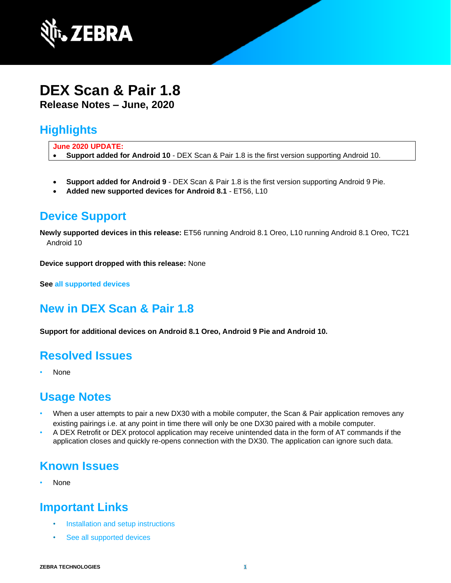

#### **DEX Scan & Pair 1.8 Release Notes – June, 2020**

# **Highlights**

**June 2020 UPDATE:**

• **Support added for Android 10** - DEX Scan & Pair 1.8 is the first version supporting Android 10.

- **Support added for Android 9** DEX Scan & Pair 1.8 is the first version supporting Android 9 Pie.
- **Added new supported devices for Android 8.1** ET56, L10

### **Device Support**

**Newly supported devices in this release:** ET56 running Android 8.1 Oreo, L10 running Android 8.1 Oreo, TC21 Android 10

**Device support dropped with this release:** None

**See [all supported devices](http://techdocs.zebra.com/dex-scanpair/1-8/guide/about/#supporteddevices)**

# **New in DEX Scan & Pair 1.8**

**Support for additional devices on Android 8.1 Oreo, Android 9 Pie and Android 10.**

### **Resolved Issues**

• None

### **Usage Notes**

- When a user attempts to pair a new DX30 with a mobile computer, the Scan & Pair application removes any existing pairings i.e. at any point in time there will only be one DX30 paired with a mobile computer.
- A DEX Retrofit or DEX protocol application may receive unintended data in the form of AT commands if the application closes and quickly re-opens connection with the DX30. The application can ignore such data.

### **Known Issues**

• None

# **Important Links**

- [Installation and setup](http://techdocs.zebra.com/dex-scanpair/1-8/guide/install/) instructions
- [See all supported devices](http://techdocs.zebra.com/dex-scanpair/1-8/guide/about/#supporteddevices)